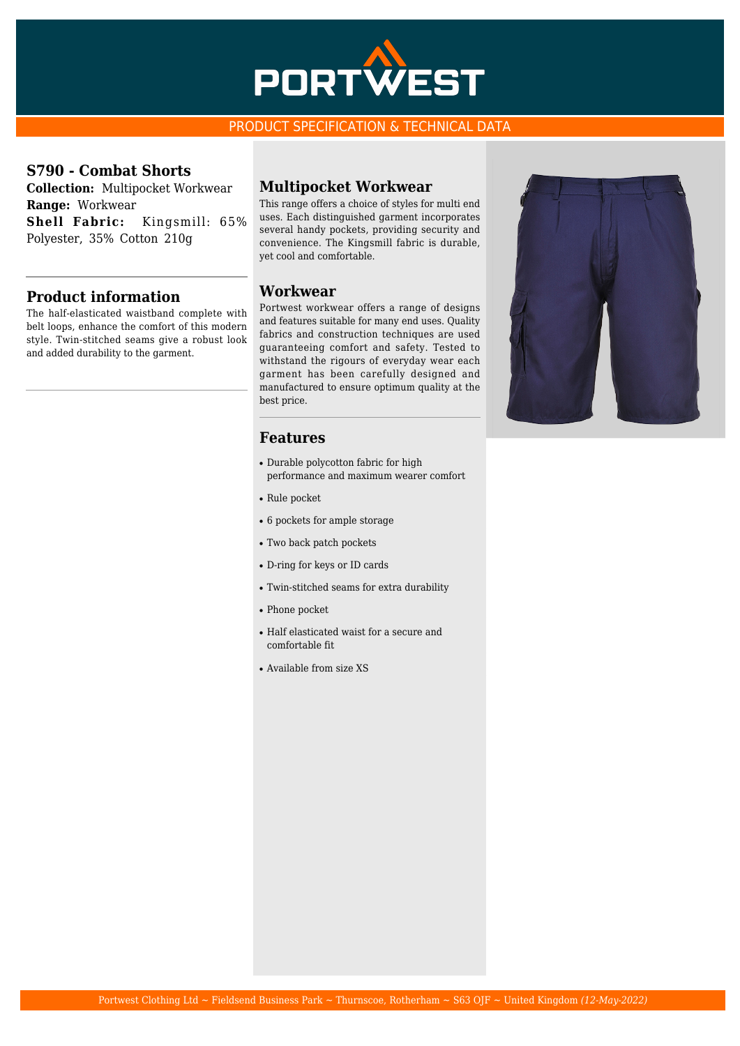

#### PRODUCT SPECIFICATION & TECHNICAL DATA

#### **S790 - Combat Shorts**

**Collection:** Multipocket Workwear **Range:** Workwear **Shell Fabric:** Kingsmill: 65% Polyester, 35% Cotton 210g

## **Product information**

The half-elasticated waistband complete with belt loops, enhance the comfort of this modern style. Twin-stitched seams give a robust look and added durability to the garment.

#### **Multipocket Workwear**

This range offers a choice of styles for multi end uses. Each distinguished garment incorporates several handy pockets, providing security and convenience. The Kingsmill fabric is durable, yet cool and comfortable.

#### **Workwear**

Portwest workwear offers a range of designs and features suitable for many end uses. Quality fabrics and construction techniques are used guaranteeing comfort and safety. Tested to withstand the rigours of everyday wear each garment has been carefully designed and manufactured to ensure optimum quality at the best price.

#### **Features**

- Durable polycotton fabric for high performance and maximum wearer comfort
- Rule pocket
- 6 pockets for ample storage
- Two back patch pockets
- D-ring for keys or ID cards
- Twin-stitched seams for extra durability
- Phone pocket
- Half elasticated waist for a secure and comfortable fit
- Available from size XS